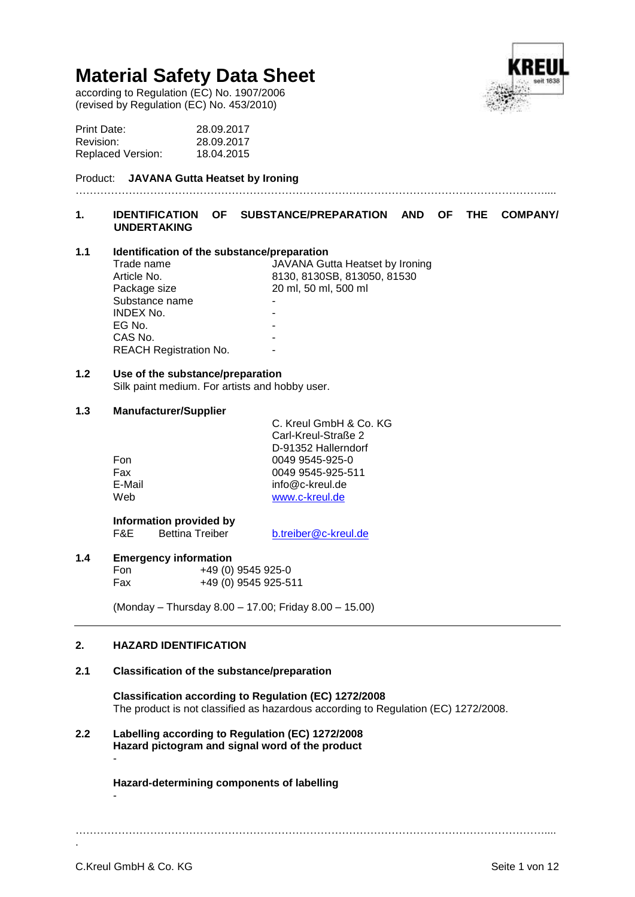according to Regulation (EC) No. 1907/2006 (revised by Regulation (EC) No. 453/2010)



| Print Date:              | 28.09.2017 |
|--------------------------|------------|
| Revision:                | 28.09.2017 |
| <b>Replaced Version:</b> | 18.04.2015 |

# Product: **JAVANA Gutta Heatset by Ironing**

# **1. IDENTIFICATION OF SUBSTANCE/PREPARATION AND OF THE COMPANY/ UNDERTAKING**

……………………………………………………………………………………………………………………....

# **1.1 Identification of the substance/preparation**

| Trade name                    | JAVANA Gutta Heatset by Ironing |
|-------------------------------|---------------------------------|
| Article No.                   | 8130, 8130SB, 813050, 81530     |
| Package size                  | 20 ml, 50 ml, 500 ml            |
| Substance name                |                                 |
| <b>INDEX No.</b>              |                                 |
| EG No.                        |                                 |
| CAS No.                       |                                 |
| <b>REACH Registration No.</b> |                                 |
|                               |                                 |

# **1.2 Use of the substance/preparation**

Silk paint medium. For artists and hobby user.

# **1.3 Manufacturer/Supplier**

|        | C. Kreul GmbH & Co. KG |
|--------|------------------------|
|        | Carl-Kreul-Straße 2    |
|        | D-91352 Hallerndorf    |
| Fon    | 0049 9545-925-0        |
| Fax    | 0049 9545-925-511      |
| E-Mail | info@c-kreul.de        |
| Web    | www.c-kreul.de         |
|        |                        |

**Information provided by**<br>F&E Bettina Treiber

[b.treiber@c-kreul.de](mailto:b.treiber@c-kreul.de)

# **1.4 Emergency information**

Fon +49 (0) 9545 925-0 Fax +49 (0) 9545 925-511

(Monday – Thursday 8.00 – 17.00; Friday 8.00 – 15.00)

# **2. HAZARD IDENTIFICATION**

# **2.1 Classification of the substance/preparation**

**Classification according to Regulation (EC) 1272/2008** The product is not classified as hazardous according to Regulation (EC) 1272/2008.

# **2.2 Labelling according to Regulation (EC) 1272/2008 Hazard pictogram and signal word of the product**

-

**Hazard-determining components of labelling** -

……………………………………………………………………………………………………………………....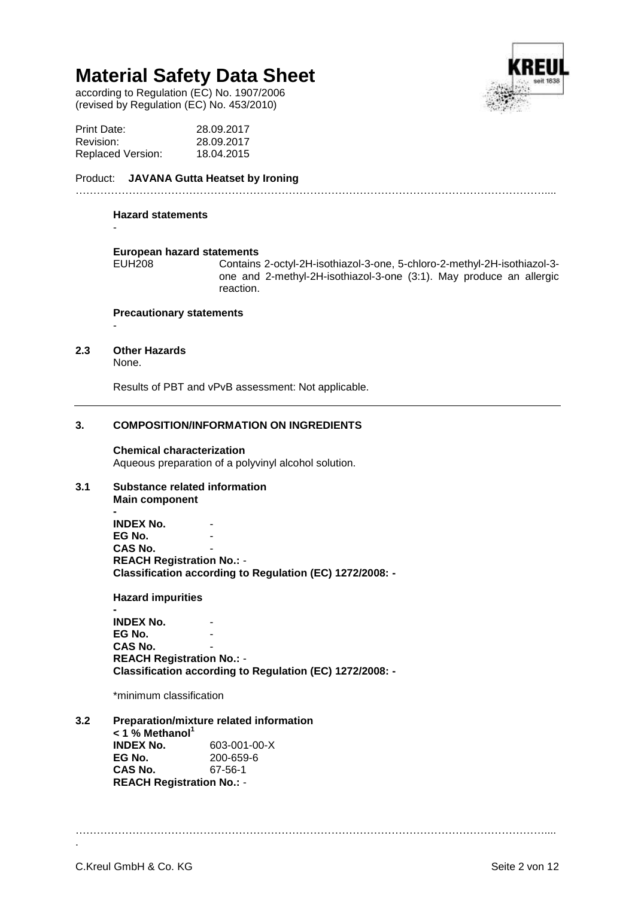according to Regulation (EC) No. 1907/2006 (revised by Regulation (EC) No. 453/2010)

|  | ٢ | ï |
|--|---|---|
|  |   |   |
|  |   |   |
|  |   |   |
|  |   |   |

| Print Date:              | 28.09.2017 |
|--------------------------|------------|
| Revision:                | 28.09.2017 |
| <b>Replaced Version:</b> | 18.04.2015 |

Product: **JAVANA Gutta Heatset by Ironing**

#### **Hazard statements**

-

-

# **European hazard statements**

Contains 2-octyl-2H-isothiazol-3-one, 5-chloro-2-methyl-2H-isothiazol-3one and 2-methyl-2H-isothiazol-3-one (3:1). May produce an allergic reaction.

……………………………………………………………………………………………………………………....

# **Precautionary statements**

# **2.3 Other Hazards**

None.

Results of PBT and vPvB assessment: Not applicable.

# **3. COMPOSITION/INFORMATION ON INGREDIENTS**

# **Chemical characterization**

Aqueous preparation of a polyvinyl alcohol solution.

# **3.1 Substance related information**

**Main component**

**- INDEX No. EG No.** CAS No. **REACH Registration No.:** - **Classification according to Regulation (EC) 1272/2008: -**

**Hazard impurities**

**- INDEX No. EG No. CAS No. REACH Registration No.:** - **Classification according to Regulation (EC) 1272/2008: -**

\*minimum classification

**3.2 Preparation/mixture related information < 1 % Methanol<sup>1</sup> INDEX No.** 603-001-00-X **EG No.** 200-659-6<br>**CAS No.** 67-56-1 **CAS No. REACH Registration No.:** -

……………………………………………………………………………………………………………………....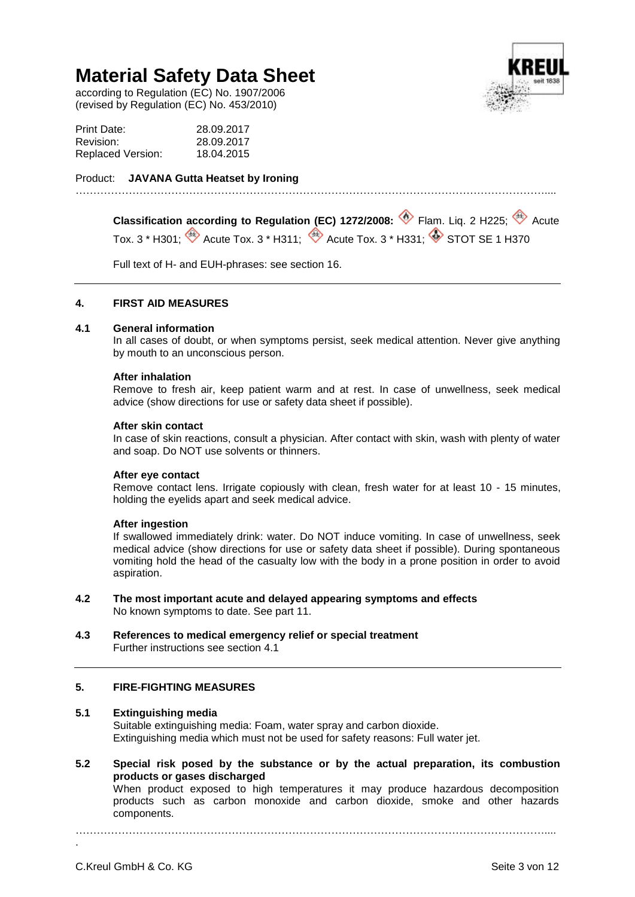according to Regulation (EC) No. 1907/2006 (revised by Regulation (EC) No. 453/2010)



| Print Date:              | 28.09.2017 |
|--------------------------|------------|
| Revision:                | 28.09.2017 |
| <b>Replaced Version:</b> | 18.04.2015 |

Product: **JAVANA Gutta Heatset by Ironing**

**Classification according to Regulation (EC) 1272/2008: <sup>1</sup> Flam. Liq. 2 H225; <sup>4</sup> Acute** Tox. 3 \* H301;  $\overset{\bullet}{\Leftrightarrow}$  Acute Tox. 3 \* H311;  $\overset{\bullet}{\Leftrightarrow}$  Acute Tox. 3 \* H331;  $\overset{\bullet}{\Leftrightarrow}$  STOT SE 1 H370

Full text of H- and EUH-phrases: see section 16.

……………………………………………………………………………………………………………………....

# **4. FIRST AID MEASURES**

# **4.1 General information**

In all cases of doubt, or when symptoms persist, seek medical attention. Never give anything by mouth to an unconscious person.

# **After inhalation**

Remove to fresh air, keep patient warm and at rest. In case of unwellness, seek medical advice (show directions for use or safety data sheet if possible).

# **After skin contact**

In case of skin reactions, consult a physician. After contact with skin, wash with plenty of water and soap. Do NOT use solvents or thinners.

# **After eye contact**

Remove contact lens. Irrigate copiously with clean, fresh water for at least 10 - 15 minutes, holding the eyelids apart and seek medical advice.

# **After ingestion**

If swallowed immediately drink: water. Do NOT induce vomiting. In case of unwellness, seek medical advice (show directions for use or safety data sheet if possible). During spontaneous vomiting hold the head of the casualty low with the body in a prone position in order to avoid aspiration.

- **4.2 The most important acute and delayed appearing symptoms and effects** No known symptoms to date. See part 11.
- **4.3 References to medical emergency relief or special treatment** Further instructions see section 4.1

# **5. FIRE-FIGHTING MEASURES**

# **5.1 Extinguishing media**

Suitable extinguishing media: Foam, water spray and carbon dioxide. Extinguishing media which must not be used for safety reasons: Full water jet.

**5.2 Special risk posed by the substance or by the actual preparation, its combustion products or gases discharged**

When product exposed to high temperatures it may produce hazardous decomposition products such as carbon monoxide and carbon dioxide, smoke and other hazards components.

……………………………………………………………………………………………………………………....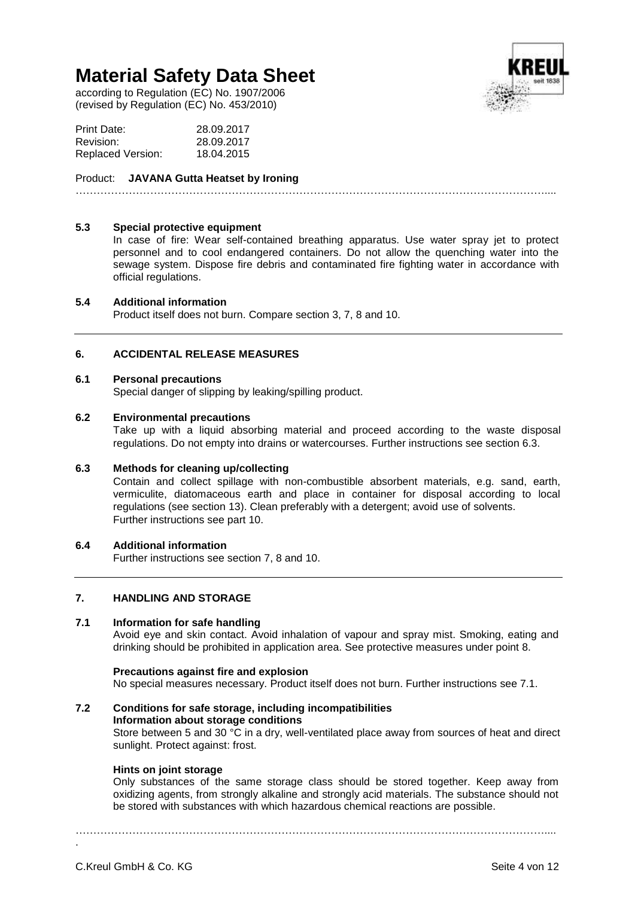according to Regulation (EC) No. 1907/2006 (revised by Regulation (EC) No. 453/2010)



| Print Date:              | 28.09.2017 |
|--------------------------|------------|
| Revision:                | 28.09.2017 |
| <b>Replaced Version:</b> | 18.04.2015 |

# Product: **JAVANA Gutta Heatset by Ironing**

……………………………………………………………………………………………………………………....

# **5.3 Special protective equipment**

In case of fire: Wear self-contained breathing apparatus. Use water spray jet to protect personnel and to cool endangered containers. Do not allow the quenching water into the sewage system. Dispose fire debris and contaminated fire fighting water in accordance with official regulations.

# **5.4 Additional information**

Product itself does not burn. Compare section 3, 7, 8 and 10.

# **6. ACCIDENTAL RELEASE MEASURES**

# **6.1 Personal precautions**

Special danger of slipping by leaking/spilling product.

# **6.2 Environmental precautions**

Take up with a liquid absorbing material and proceed according to the waste disposal regulations. Do not empty into drains or watercourses. Further instructions see section 6.3.

# **6.3 Methods for cleaning up/collecting**

Contain and collect spillage with non-combustible absorbent materials, e.g. sand, earth, vermiculite, diatomaceous earth and place in container for disposal according to local regulations (see section 13). Clean preferably with a detergent; avoid use of solvents. Further instructions see part 10.

# **6.4 Additional information**

Further instructions see section 7, 8 and 10.

# **7. HANDLING AND STORAGE**

# **7.1 Information for safe handling**

Avoid eye and skin contact. Avoid inhalation of vapour and spray mist. Smoking, eating and drinking should be prohibited in application area. See protective measures under point 8.

# **Precautions against fire and explosion**

No special measures necessary. Product itself does not burn. Further instructions see 7.1.

# **7.2 Conditions for safe storage, including incompatibilities Information about storage conditions**

Store between 5 and 30 °C in a dry, well-ventilated place away from sources of heat and direct sunlight. Protect against: frost.

# **Hints on joint storage**

Only substances of the same storage class should be stored together. Keep away from oxidizing agents, from strongly alkaline and strongly acid materials. The substance should not be stored with substances with which hazardous chemical reactions are possible.

……………………………………………………………………………………………………………………....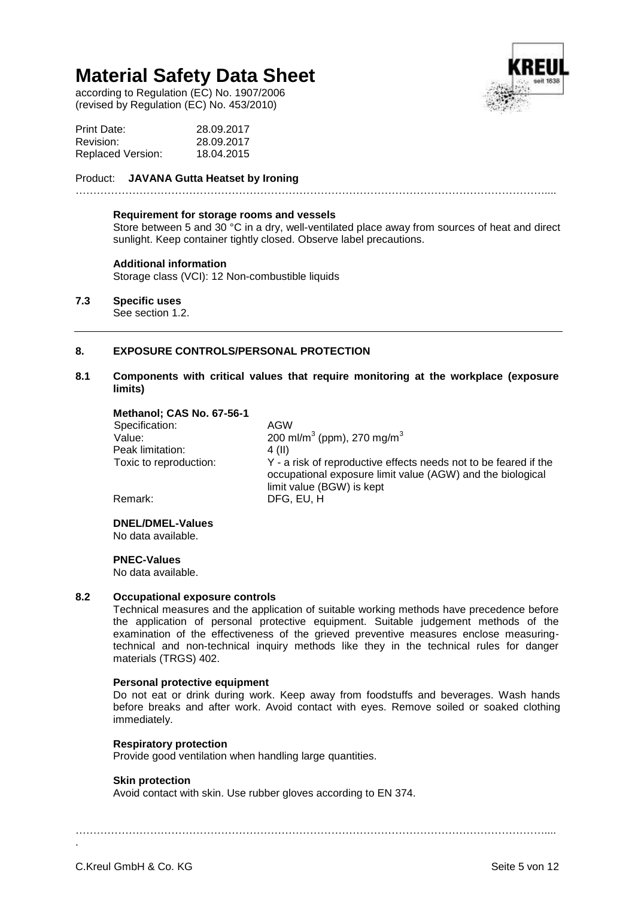according to Regulation (EC) No. 1907/2006 (revised by Regulation (EC) No. 453/2010)



| Print Date:              | 28.09.2017 |
|--------------------------|------------|
| Revision:                | 28.09.2017 |
| <b>Replaced Version:</b> | 18.04.2015 |

#### Product: **JAVANA Gutta Heatset by Ironing**

……………………………………………………………………………………………………………………....

#### **Requirement for storage rooms and vessels**

Store between 5 and 30 °C in a dry, well-ventilated place away from sources of heat and direct sunlight. Keep container tightly closed. Observe label precautions.

#### **Additional information**

Storage class (VCI): 12 Non-combustible liquids

# **7.3 Specific uses**

See section 1.2.

# **8. EXPOSURE CONTROLS/PERSONAL PROTECTION**

# **8.1 Components with critical values that require monitoring at the workplace (exposure limits)**

| Methanol; CAS No. 67-56-1 |                                                                                                                                                             |
|---------------------------|-------------------------------------------------------------------------------------------------------------------------------------------------------------|
| Specification:            | AGW                                                                                                                                                         |
| Value:                    | 200 ml/m <sup>3</sup> (ppm), 270 mg/m <sup>3</sup>                                                                                                          |
| Peak limitation:          | 4 (II)                                                                                                                                                      |
| Toxic to reproduction:    | Y - a risk of reproductive effects needs not to be feared if the<br>occupational exposure limit value (AGW) and the biological<br>limit value (BGW) is kept |
| Remark:                   | DFG. EU. H                                                                                                                                                  |
|                           |                                                                                                                                                             |

**DNEL/DMEL-Values** No data available.

# **PNEC-Values**

No data available.

# **8.2 Occupational exposure controls**

Technical measures and the application of suitable working methods have precedence before the application of personal protective equipment. Suitable judgement methods of the examination of the effectiveness of the grieved preventive measures enclose measuringtechnical and non-technical inquiry methods like they in the technical rules for danger materials (TRGS) 402.

#### **Personal protective equipment**

Do not eat or drink during work. Keep away from foodstuffs and beverages. Wash hands before breaks and after work. Avoid contact with eyes. Remove soiled or soaked clothing immediately.

# **Respiratory protection**

Provide good ventilation when handling large quantities.

# **Skin protection**

Avoid contact with skin. Use rubber gloves according to EN 374.

……………………………………………………………………………………………………………………....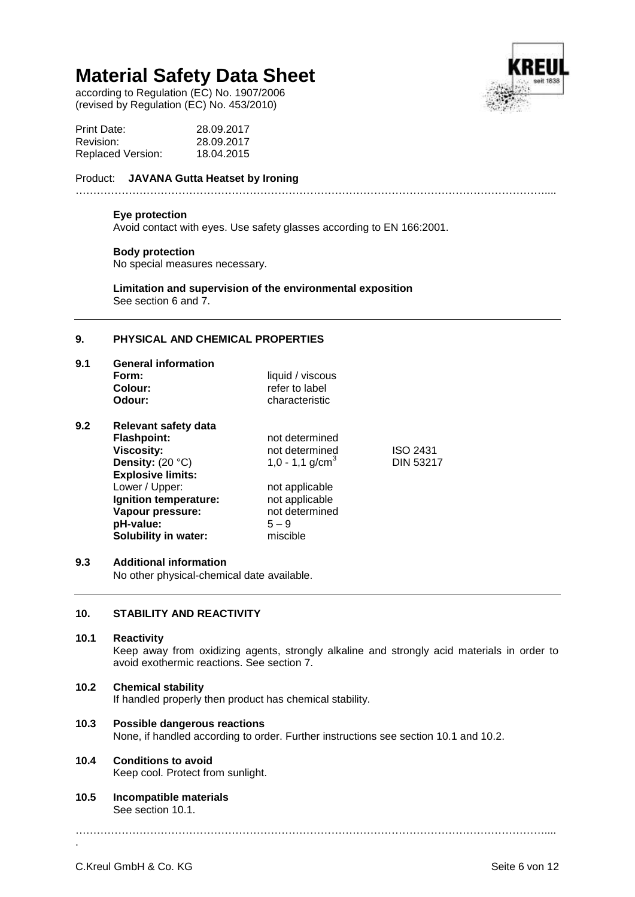according to Regulation (EC) No. 1907/2006 (revised by Regulation (EC) No. 453/2010)



| Print Date:              | 28.09.2017 |
|--------------------------|------------|
| Revision:                | 28.09.2017 |
| <b>Replaced Version:</b> | 18.04.2015 |

#### Product: **JAVANA Gutta Heatset by Ironing** ……………………………………………………………………………………………………………………....

# **Eye protection**

Avoid contact with eyes. Use safety glasses according to EN 166:2001.

# **Body protection**

No special measures necessary.

**Limitation and supervision of the environmental exposition** See section 6 and 7.

# **9. PHYSICAL AND CHEMICAL PROPERTIES**

| 9.1 | <b>General information</b>  |                   |                  |  |
|-----|-----------------------------|-------------------|------------------|--|
|     | Form:                       | liquid / viscous  |                  |  |
|     | Colour:                     | refer to label    |                  |  |
|     | Odour:                      | characteristic    |                  |  |
| 9.2 | Relevant safety data        |                   |                  |  |
|     | <b>Flashpoint:</b>          | not determined    |                  |  |
|     | <b>Viscosity:</b>           | not determined    | <b>ISO 2431</b>  |  |
|     | Density: $(20 °C)$          | 1,0 - 1,1 $q/cm3$ | <b>DIN 53217</b> |  |
|     | <b>Explosive limits:</b>    |                   |                  |  |
|     | Lower / Upper:              | not applicable    |                  |  |
|     | Ignition temperature:       | not applicable    |                  |  |
|     | Vapour pressure:            | not determined    |                  |  |
|     | pH-value:                   | $5 - 9$           |                  |  |
|     | <b>Solubility in water:</b> | miscible          |                  |  |
|     |                             |                   |                  |  |

# **9.3 Additional information**

No other physical-chemical date available.

# **10. STABILITY AND REACTIVITY**

# **10.1 Reactivity**

Keep away from oxidizing agents, strongly alkaline and strongly acid materials in order to avoid exothermic reactions. See section 7.

# **10.2 Chemical stability**

If handled properly then product has chemical stability.

# **10.3 Possible dangerous reactions**

None, if handled according to order. Further instructions see section 10.1 and 10.2.

# **10.4 Conditions to avoid**

Keep cool. Protect from sunlight.

**10.5 Incompatible materials** See section 10.1.

……………………………………………………………………………………………………………………....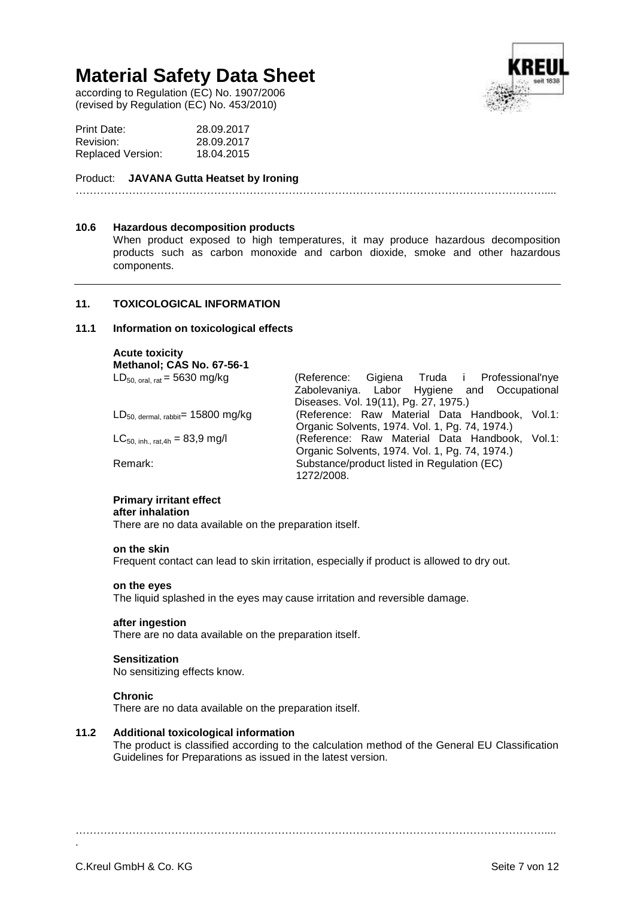according to Regulation (EC) No. 1907/2006 (revised by Regulation (EC) No. 453/2010)



| Print Date:       | 28.09.2017 |
|-------------------|------------|
| Revision:         | 28.09.2017 |
| Replaced Version: | 18.04.2015 |

# Product: **JAVANA Gutta Heatset by Ironing**

……………………………………………………………………………………………………………………....

#### **10.6 Hazardous decomposition products**

When product exposed to high temperatures, it may produce hazardous decomposition products such as carbon monoxide and carbon dioxide, smoke and other hazardous components.

# **11. TOXICOLOGICAL INFORMATION**

#### **11.1 Information on toxicological effects**

**Acute toxicity Methanol; CAS No. 67-56-1**

| $LD_{50, \text{ oral, rat}} = 5630 \text{ mg/kg}$       | (Reference: Gigiena Truda i Professional'nye<br>Zabolevaniya. Labor Hygiene and Occupational |
|---------------------------------------------------------|----------------------------------------------------------------------------------------------|
|                                                         |                                                                                              |
|                                                         | Diseases. Vol. 19(11), Pg. 27, 1975.)                                                        |
| $LD_{50, \text{ dermal, rabbit}} = 15800 \text{ mg/kg}$ | (Reference: Raw Material Data Handbook, Vol.1:                                               |
|                                                         | Organic Solvents, 1974. Vol. 1, Pg. 74, 1974.)                                               |
| $LC_{50, inh., rat,4h} = 83.9$ mg/l                     | (Reference: Raw Material Data Handbook, Vol.1:                                               |
|                                                         | Organic Solvents, 1974. Vol. 1, Pg. 74, 1974.)                                               |
| Remark:                                                 | Substance/product listed in Regulation (EC)                                                  |
|                                                         | 1272/2008.                                                                                   |

# **Primary irritant effect**

#### **after inhalation**

There are no data available on the preparation itself.

#### **on the skin**

Frequent contact can lead to skin irritation, especially if product is allowed to dry out.

#### **on the eyes**

The liquid splashed in the eyes may cause irritation and reversible damage.

#### **after ingestion**

There are no data available on the preparation itself.

#### **Sensitization**

No sensitizing effects know.

#### **Chronic**

There are no data available on the preparation itself.

# **11.2 Additional toxicological information**

The product is classified according to the calculation method of the General EU Classification Guidelines for Preparations as issued in the latest version.

……………………………………………………………………………………………………………………....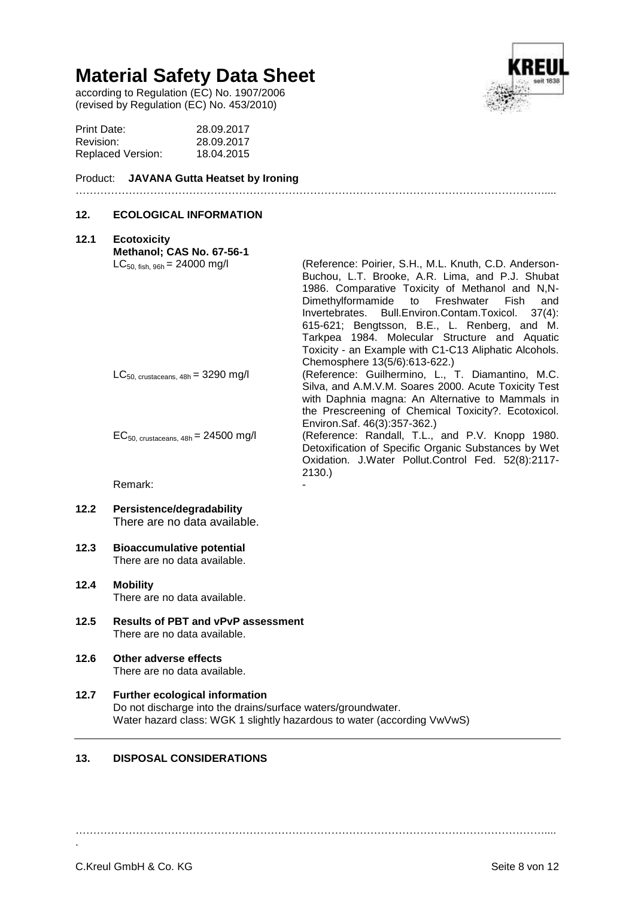according to Regulation (EC) No. 1907/2006 (revised by Regulation (EC) No. 453/2010)

| Print Date:       | 28.09.2017 |
|-------------------|------------|
| Revision:         | 28.09.2017 |
| Replaced Version: | 18.04.2015 |

#### Product: **JAVANA Gutta Heatset by Ironing**

# **12. ECOLOGICAL INFORMATION**

# **12.1 Ecotoxicity Methanol; CAS No. 67-56-1**<br>LC<sub>50. fish. 96h = 24000 mg/l</sub> (Reference: Poirier, S.H., M.L. Knuth, C.D. Anderson-Buchou, L.T. Brooke, A.R. Lima, and P.J. Shubat 1986. Comparative Toxicity of Methanol and N,N-<br>Dimethylformamide to Freshwater Fish and Dimethylformamide to Invertebrates. Bull.Environ.Contam.Toxicol. 37(4): 615-621; Bengtsson, B.E., L. Renberg, and M. Tarkpea 1984. Molecular Structure and Aquatic Toxicity - an Example with C1-C13 Aliphatic Alcohols. Chemosphere 13(5/6):613-622.) LC<sub>50, crustaceans, 48h</sub> = 3290 mg/l (Reference: Guilhermino, L., T. Diamantino, M.C. Silva, and A.M.V.M. Soares 2000. Acute Toxicity Test with Daphnia magna: An Alternative to Mammals in the Prescreening of Chemical Toxicity?. Ecotoxicol. Environ.Saf. 46(3):357-362.) EC50, crustaceans, 48h = 24500 mg/l (Reference: Randall, T.L., and P.V. Knopp 1980. Detoxification of Specific Organic Substances by Wet Oxidation. J.Water Pollut.Control Fed. 52(8):2117- 2130.) Remark:

……………………………………………………………………………………………………………………....

- **12.2 Persistence/degradability** There are no data available.
- **12.3 Bioaccumulative potential** There are no data available.
- **12.4 Mobility** There are no data available.
- **12.5 Results of PBT and vPvP assessment** There are no data available.
- **12.6 Other adverse effects** There are no data available.
- **12.7 Further ecological information** Do not discharge into the drains/surface waters/groundwater. Water hazard class: WGK 1 slightly hazardous to water (according VwVwS)

# **13. DISPOSAL CONSIDERATIONS**

……………………………………………………………………………………………………………………....

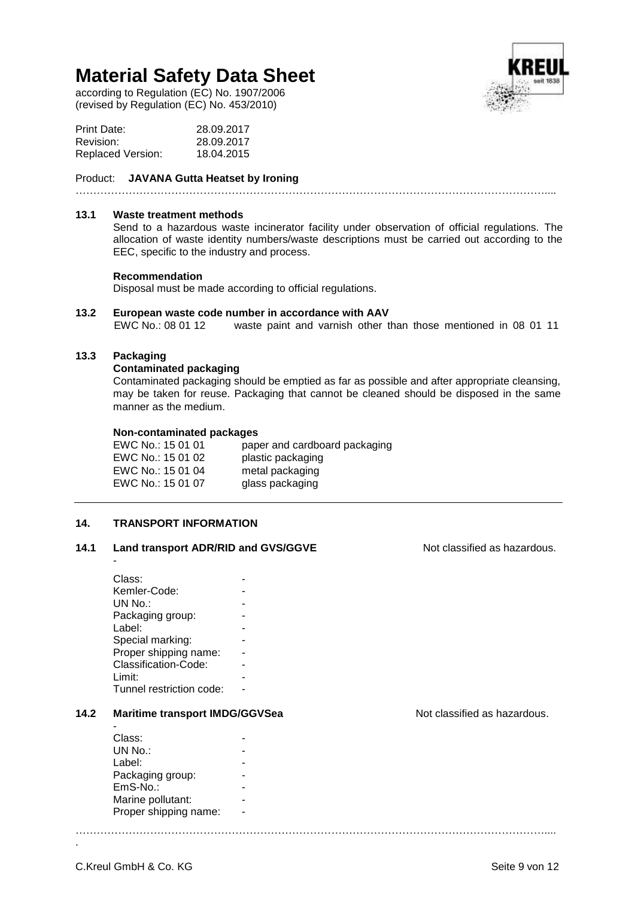according to Regulation (EC) No. 1907/2006 (revised by Regulation (EC) No. 453/2010)



| Print Date:              | 28.09.2017 |
|--------------------------|------------|
| Revision:                | 28.09.2017 |
| <b>Replaced Version:</b> | 18.04.2015 |

#### Product: **JAVANA Gutta Heatset by Ironing**

……………………………………………………………………………………………………………………....

#### **13.1 Waste treatment methods**

Send to a hazardous waste incinerator facility under observation of official regulations. The allocation of waste identity numbers/waste descriptions must be carried out according to the EEC, specific to the industry and process.

#### **Recommendation**

Disposal must be made according to official regulations.

**13.2 European waste code number in accordance with AAV** waste paint and varnish other than those mentioned in 08 01 11

……………………………………………………………………………………………………………………....

# **13.3 Packaging**

-

# **Contaminated packaging**

Contaminated packaging should be emptied as far as possible and after appropriate cleansing, may be taken for reuse. Packaging that cannot be cleaned should be disposed in the same manner as the medium.

#### **Non-contaminated packages**

| paper and cardboard packaging |
|-------------------------------|
| plastic packaging             |
| metal packaging               |
| glass packaging               |
|                               |

# **14. TRANSPORT INFORMATION**

# 14.1 Land transport ADR/RID and GVS/GGVE Not classified as hazardous.

| Class:                   |  |
|--------------------------|--|
| Kemler-Code:             |  |
| UN No.:                  |  |
| Packaging group:         |  |
| Label:                   |  |
| Special marking:         |  |
| Proper shipping name:    |  |
| Classification-Code:     |  |
| $Lim$ it:                |  |
| Tunnel restriction code: |  |

# 14.2 **Maritime transport IMDG/GGVSea** Not classified as hazardous.

| Class:                |  |
|-----------------------|--|
| UN No.:               |  |
| Label:                |  |
| Packaging group:      |  |
| EmS-No.:              |  |
| Marine pollutant:     |  |
| Proper shipping name: |  |
|                       |  |

C.Kreul GmbH & Co. KG Seite 9 von 12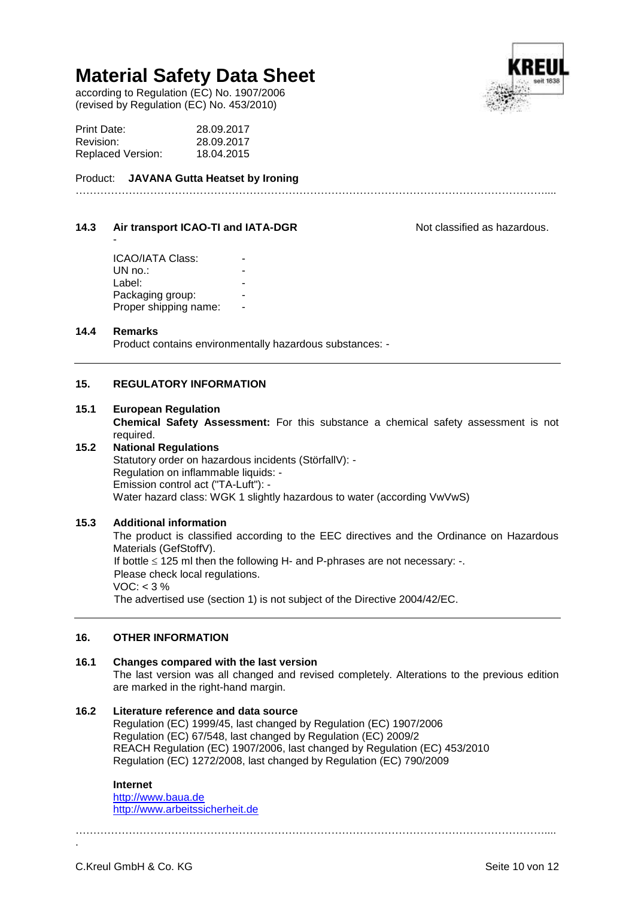according to Regulation (EC) No. 1907/2006 (revised by Regulation (EC) No. 453/2010)

| Print Date:       | 28.09.2017 |
|-------------------|------------|
| Revision:         | 28.09.2017 |
| Replaced Version: | 18.04.2015 |

Product: **JAVANA Gutta Heatset by Ironing**

# **14.3 Air transport ICAO-TI and IATA-DGR** Not classified as hazardous.

 $UN no.$ : Label: Packaging group: Proper shipping name:

# **14.4 Remarks**

-

Product contains environmentally hazardous substances: -

# **15. REGULATORY INFORMATION**

#### **15.1 European Regulation**

**Chemical Safety Assessment:** For this substance a chemical safety assessment is not required.

#### **15.2 National Regulations** Statutory order on hazardous incidents (StörfallV): - Regulation on inflammable liquids: - Emission control act ("TA-Luft"): - Water hazard class: WGK 1 slightly hazardous to water (according VwVwS)

# **15.3 Additional information**

The product is classified according to the EEC directives and the Ordinance on Hazardous Materials (GefStoffV). If bottle  $\leq$  125 ml then the following H- and P-phrases are not necessary: -. Please check local regulations.  $VOC: < 3 \%$ The advertised use (section 1) is not subject of the Directive 2004/42/EC.

# **16. OTHER INFORMATION**

# **16.1 Changes compared with the last version**

The last version was all changed and revised completely. Alterations to the previous edition are marked in the right-hand margin.

# **16.2 Literature reference and data source**

Regulation (EC) 1999/45, last changed by Regulation (EC) 1907/2006 Regulation (EC) 67/548, last changed by Regulation (EC) 2009/2 REACH Regulation (EC) 1907/2006, last changed by Regulation (EC) 453/2010 Regulation (EC) 1272/2008, last changed by Regulation (EC) 790/2009

# **Internet**

[http://www.baua.de](http://www.baua.de/) [http://www.arbeitssicherheit.de](http://www.arbeitssicherheit.de/)

……………………………………………………………………………………………………………………....

.



……………………………………………………………………………………………………………………....

# **ICAO/IATA Class:**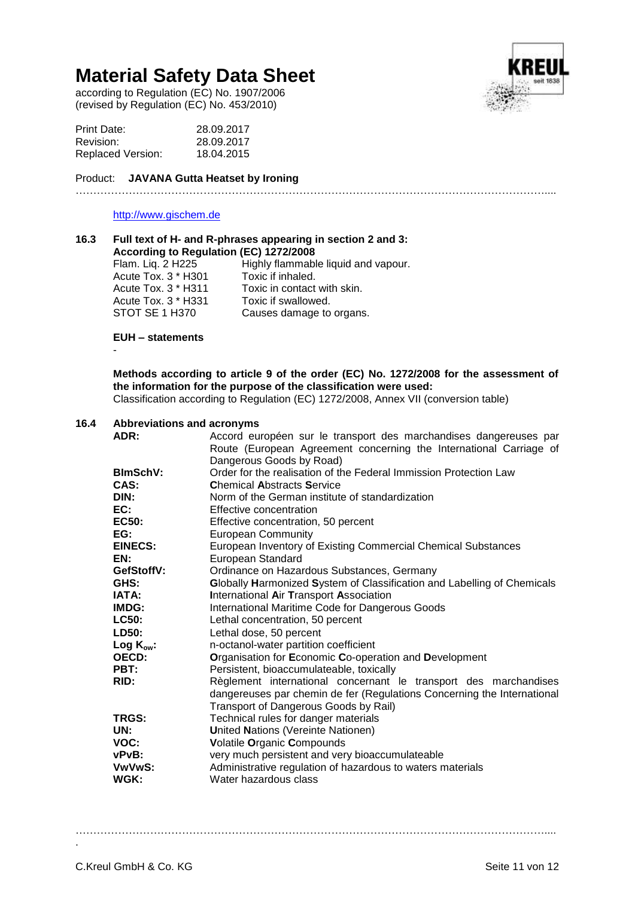according to Regulation (EC) No. 1907/2006 (revised by Regulation (EC) No. 453/2010)

| Print Date:              | 28.09.2017 |
|--------------------------|------------|
| Revision:                | 28.09.2017 |
| <b>Replaced Version:</b> | 18.04.2015 |

#### Product: **JAVANA Gutta Heatset by Ironing** ……………………………………………………………………………………………………………………....

# [http://www.gischem.de](http://www.gischem.de/)



| 16.3 |                                        | Full text of H- and R-phrases appearing in section 2 and 3: |
|------|----------------------------------------|-------------------------------------------------------------|
|      | According to Regulation (EC) 1272/2008 |                                                             |
|      | Flam. Liq. 2 H225                      | Highly flammable liquid and vapour.                         |

Acute Tox. 3 \* H301 Toxic if inhaled.<br>Acute Tox. 3 \* H311 Toxic in contact Toxic in contact with skin.<br>Toxic if swallowed. Acute Tox. 3 \* H331<br>STOT SE 1 H370 Causes damage to organs.

# **EUH – statements**

-

# **Methods according to article 9 of the order (EC) No. 1272/2008 for the assessment of the information for the purpose of the classification were used:**

Classification according to Regulation (EC) 1272/2008, Annex VII (conversion table)

# **16.4 Abbreviations and acronyms**

| ADR:            | Accord européen sur le transport des marchandises dangereuses par       |  |
|-----------------|-------------------------------------------------------------------------|--|
|                 | Route (European Agreement concerning the International Carriage of      |  |
|                 | Dangerous Goods by Road)                                                |  |
| <b>BlmSchV:</b> | Order for the realisation of the Federal Immission Protection Law       |  |
| CAS:            | <b>Chemical Abstracts Service</b>                                       |  |
| DIN:            | Norm of the German institute of standardization                         |  |
| EC:             | Effective concentration                                                 |  |
| <b>EC50:</b>    | Effective concentration, 50 percent                                     |  |
| EG:             | <b>European Community</b>                                               |  |
| <b>EINECS:</b>  | European Inventory of Existing Commercial Chemical Substances           |  |
| EN:             | European Standard                                                       |  |
| GefStoffV:      | Ordinance on Hazardous Substances, Germany                              |  |
| GHS:            | Globally Harmonized System of Classification and Labelling of Chemicals |  |
| <b>IATA:</b>    | International Air Transport Association                                 |  |
| IMDG:           | International Maritime Code for Dangerous Goods                         |  |
| <b>LC50:</b>    | Lethal concentration, 50 percent                                        |  |
| LD50:           | Lethal dose, 50 percent                                                 |  |
| Log $K_{ow}$ :  | n-octanol-water partition coefficient                                   |  |
| <b>OECD:</b>    | Organisation for Economic Co-operation and Development                  |  |
| PBT:            | Persistent, bioaccumulateable, toxically                                |  |
| RID:            | Règlement international concernant le transport des marchandises        |  |
|                 | dangereuses par chemin de fer (Regulations Concerning the International |  |
|                 | Transport of Dangerous Goods by Rail)                                   |  |
| <b>TRGS:</b>    | Technical rules for danger materials                                    |  |
| UN:             | <b>United Nations (Vereinte Nationen)</b>                               |  |
| VOC:            | Volatile Organic Compounds                                              |  |
| vPvB:           | very much persistent and very bioaccumulateable                         |  |
| VwVwS:          | Administrative regulation of hazardous to waters materials              |  |
| WGK:            | Water hazardous class                                                   |  |

……………………………………………………………………………………………………………………....